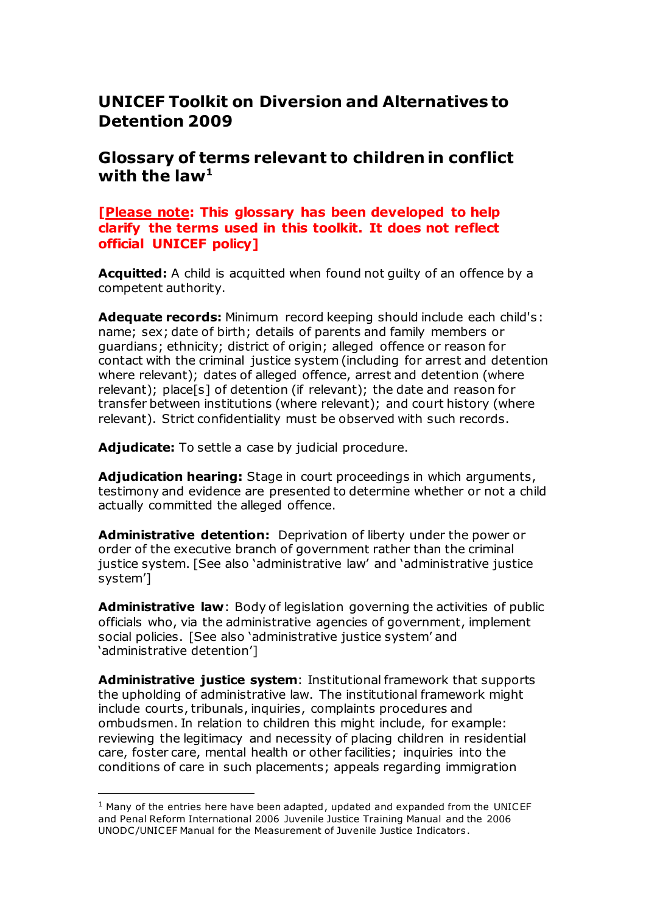## **UNICEF Toolkit on Diversion and Alternatives to Detention 2009**

## **Glossary of terms relevant to children in conflict**  with the law $^{\mathbf{1}}$

## **[Please note: This glossary has been developed to help clarify the terms used in this toolkit. It does not reflect official UNICEF policy]**

**Acquitted:** A child is acquitted when found not guilty of an offence by a competent authority.

**Adequate records:** Minimum record keeping should include each child's: name; sex; date of birth; details of parents and family members or guardians; ethnicity; district of origin; alleged offence or reason for contact with the criminal justice system (including for arrest and detention where relevant); dates of alleged offence, arrest and detention (where relevant); place[s] of detention (if relevant); the date and reason for transfer between institutions (where relevant); and court history (where relevant). Strict confidentiality must be observed with such records.

**Adjudicate:** To settle a case by judicial procedure.

**Adjudication hearing:** Stage in court proceedings in which arguments, testimony and evidence are presented to determine whether or not a child actually committed the alleged offence.

**Administrative detention:** Deprivation of liberty under the power or order of the executive branch of government rather than the criminal justice system. [See also 'administrative law' and 'administrative justice system']

**Administrative law**: Body of legislation governing the activities of public officials who, via the administrative agencies of government, implement social policies. [See also 'administrative justice system' and 'administrative detention']

**Administrative justice system**: Institutional framework that supports the upholding of administrative law. The institutional framework might include courts, tribunals, inquiries, complaints procedures and ombudsmen. In relation to children this might include, for example: reviewing the legitimacy and necessity of placing children in residential care, foster care, mental health or other facilities; inquiries into the conditions of care in such placements; appeals regarding immigration

 $<sup>1</sup>$  Many of the entries here have been adapted, updated and expanded from the UNICEF</sup> and Penal Reform International 2006 Juvenile Justice Training Manual and the 2006 UNODC /UNICEF Manual for the Measurement of Juvenile Justice Indicators .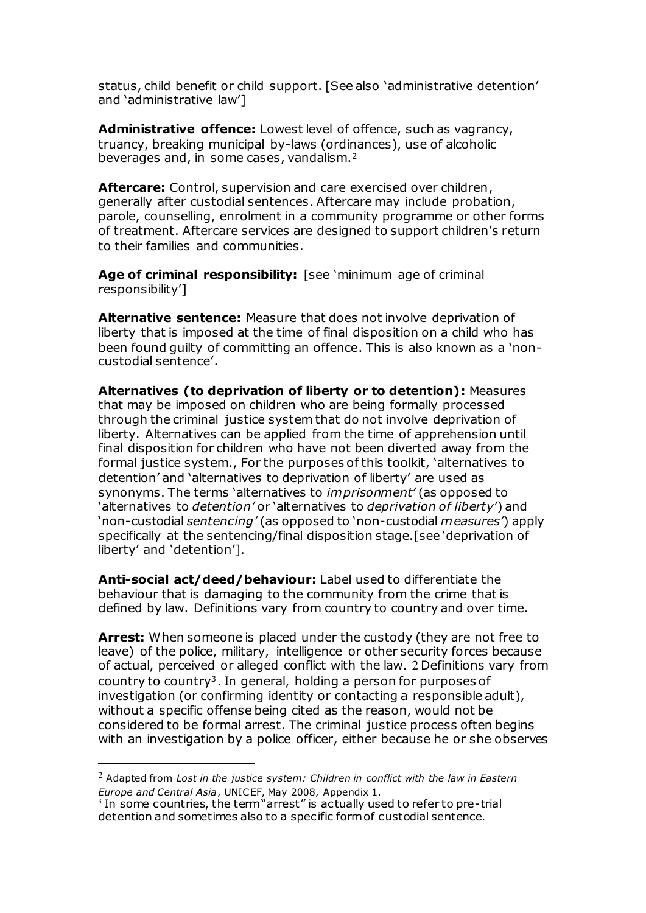status, child benefit or child support. [See also 'administrative detention' and 'administrative law']

<span id="page-1-0"></span>**Administrative offence:** Lowest level of offence, such as vagrancy, truancy, breaking municipal by-laws (ordinances), use of alcoholic beverages and, in some cases, vandalism.<sup>2</sup>

**Aftercare:** Control, supervision and care exercised over children, generally after custodial sentences. Aftercare may include probation, parole, counselling, enrolment in a community programme or other forms of treatment. Aftercare services are designed to support children's return to their families and communities.

**Age of criminal responsibility:** [see 'minimum age of criminal responsibility']

**Alternative sentence:** Measure that does not involve deprivation of liberty that is imposed at the time of final disposition on a child who has been found guilty of committing an offence. This is also known as a 'noncustodial sentence'.

**Alternatives (to deprivation of liberty or to detention):** Measures that may be imposed on children who are being formally processed through the criminal justice system that do not involve deprivation of liberty. Alternatives can be applied from the time of apprehension until final disposition for children who have not been diverted away from the formal justice system., For the purposes of this toolkit, 'alternatives to detention' and 'alternatives to deprivation of liberty' are used as synonyms. The terms 'alternatives to *imprisonment'* (as opposed to 'alternatives to *detention'* or 'alternatives to *deprivation of liberty'*) and 'non-custodial *sentencing'* (as opposed to 'non-custodial *measures'*) apply specifically at the sentencing/final disposition stage.[see 'deprivation of liberty' and 'detention'].

**Anti-social act/deed/behaviour:** Label used to differentiate the behaviour that is damaging to the community from the crime that is defined by law. Definitions vary from country to country and over time.

**Arrest:** When someone is placed under the custody (they are not free to leave) of the police, military, intelligence or other security forces because of actual, perceived or alleged conflict with the law. [2](#page-1-0) Definitions vary from country to country<sup>3</sup>. In general, holding a person for purposes of investigation (or confirming identity or contacting a responsible adult), without a specific offense being cited as the reason, would not be considered to be formal arrest. The criminal justice process often begins with an investigation by a police officer, either because he or she observes

<sup>2</sup> Adapted from *Lost in the justice system: Children in conflict with the law in Eastern* 

*Europe and Central Asia*, UNICEF, May 2008, Appendix 1. 3 In some countries, the term "arrest" is actually used to refer to pre-trial detention and sometimes also to a specific form of custodial sentence.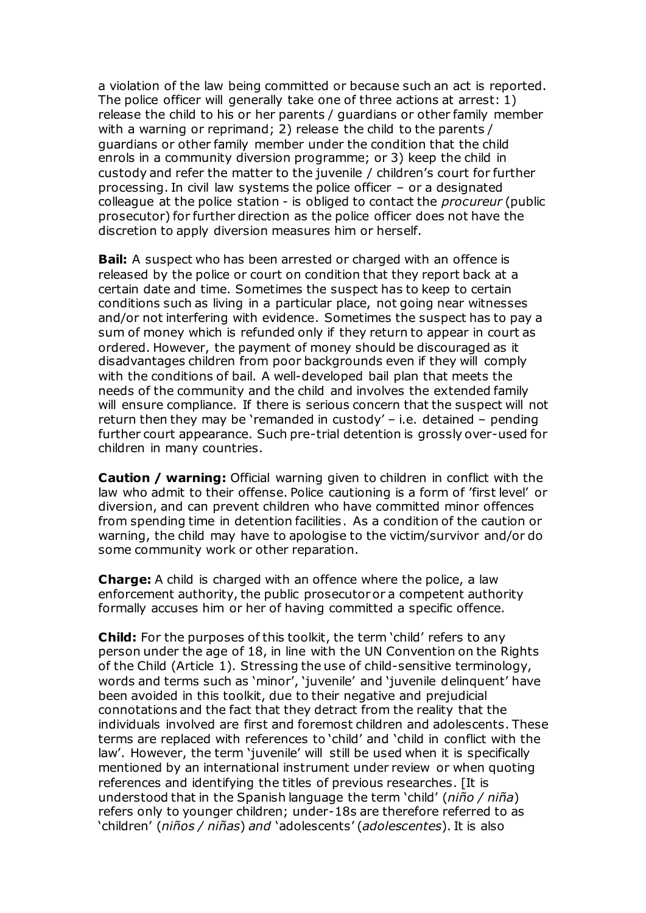a violation of the law being committed or because such an act is reported. The police officer will generally take one of three actions at arrest: 1) release the child to his or her parents / guardians or other family member with a warning or reprimand; 2) release the child to the parents / guardians or other family member under the condition that the child enrols in a community diversion programme; or 3) keep the child in custody and refer the matter to the juvenile / children's court for further processing. In civil law systems the police officer – or a designated colleague at the police station - is obliged to contact the *procureur* (public prosecutor) for further direction as the police officer does not have the discretion to apply diversion measures him or herself.

**Bail:** A suspect who has been arrested or charged with an offence is released by the police or court on condition that they report back at a certain date and time. Sometimes the suspect has to keep to certain conditions such as living in a particular place, not going near witnesses and/or not interfering with evidence. Sometimes the suspect has to pay a sum of money which is refunded only if they return to appear in court as ordered. However, the payment of money should be discouraged as it disadvantages children from poor backgrounds even if they will comply with the conditions of bail. A well-developed bail plan that meets the needs of the community and the child and involves the extended family will ensure compliance. If there is serious concern that the suspect will not return then they may be 'remanded in custody' – i.e. detained – pending further court appearance. Such pre-trial detention is grossly over-used for children in many countries.

**Caution / warning:** Official warning given to children in conflict with the law who admit to their offense. Police cautioning is a form of 'first level' or diversion, and can prevent children who have committed minor offences from spending time in detention facilities. As a condition of the caution or warning, the child may have to apologise to the victim/survivor and/or do some community work or other reparation.

**Charge:** A child is charged with an offence where the police, a law enforcement authority, the public prosecutor or a competent authority formally accuses him or her of having committed a specific offence.

**Child:** For the purposes of this toolkit, the term 'child' refers to any person under the age of 18, in line with the UN Convention on the Rights of the Child (Article 1). Stressing the use of child-sensitive terminology, words and terms such as 'minor', 'juvenile' and 'juvenile delinquent' have been avoided in this toolkit, due to their negative and prejudicial connotations and the fact that they detract from the reality that the individuals involved are first and foremost children and adolescents. These terms are replaced with references to 'child' and 'child in conflict with the law'. However, the term 'juvenile' will still be used when it is specifically mentioned by an international instrument under review or when quoting references and identifying the titles of previous researches. [It is understood that in the Spanish language the term 'child' (*niño / niña*) refers only to younger children; under-18s are therefore referred to as 'children' (*niños / niñas*) *and* 'adolescents' (*adolescentes*). It is also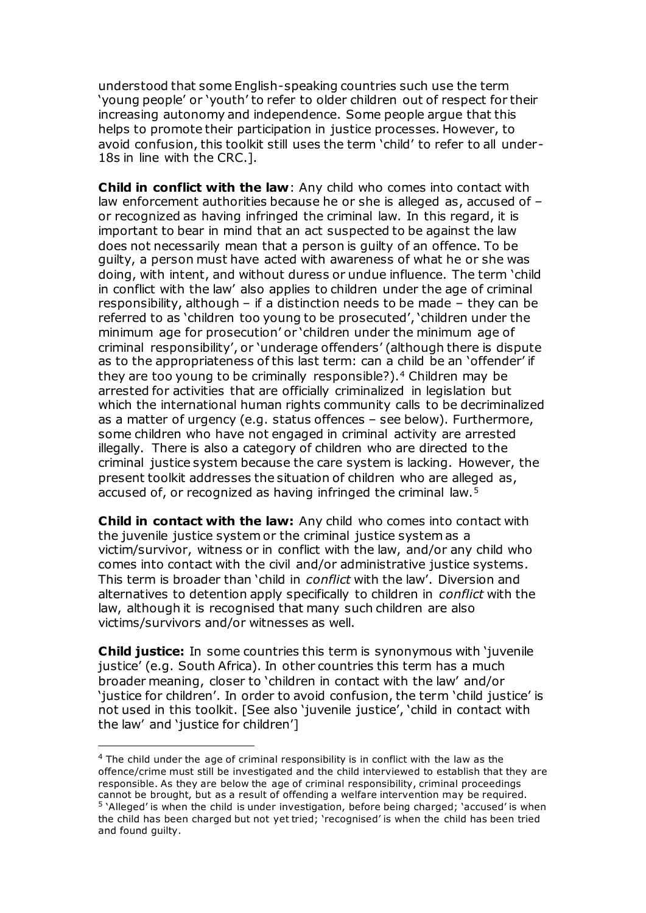understood that some English-speaking countries such use the term 'young people' or 'youth' to refer to older children out of respect for their increasing autonomy and independence. Some people argue that this helps to promote their participation in justice processes. However, to avoid confusion, this toolkit still uses the term 'child' to refer to all under-18s in line with the CRC.].

**Child in conflict with the law**: Any child who comes into contact with law enforcement authorities because he or she is alleged as, accused of – or recognized as having infringed the criminal law. In this regard, it is important to bear in mind that an act suspected to be against the law does not necessarily mean that a person is guilty of an offence. To be guilty, a person must have acted with awareness of what he or she was doing, with intent, and without duress or undue influence. The term 'child in conflict with the law' also applies to children under the age of criminal responsibility, although – if a distinction needs to be made – they can be referred to as 'children too young to be prosecuted', 'children under the minimum age for prosecution' or 'children under the minimum age of criminal responsibility', or 'underage offenders' (although there is dispute as to the appropriateness of this last term: can a child be an 'offender' if they are too young to be criminally responsible?).<sup>4</sup> Children may be arrested for activities that are officially criminalized in legislation but which the international human rights community calls to be decriminalized as a matter of urgency (e.g. status offences – see below). Furthermore, some children who have not engaged in criminal activity are arrested illegally. There is also a category of children who are directed to the criminal justice system because the care system is lacking. However, the present toolkit addresses the situation of children who are alleged as, accused of, or recognized as having infringed the criminal law.<sup>5</sup>

**Child in contact with the law:** Any child who comes into contact with the juvenile justice system or the criminal justice system as a victim/survivor, witness or in conflict with the law, and/or any child who comes into contact with the civil and/or administrative justice systems. This term is broader than 'child in *conflict* with the law'. Diversion and alternatives to detention apply specifically to children in *conflict* with the law, although it is recognised that many such children are also victims/survivors and/or witnesses as well.

**Child justice:** In some countries this term is synonymous with 'juvenile justice' (e.g. South Africa). In other countries this term has a much broader meaning, closer to 'children in contact with the law' and/or 'justice for children'. In order to avoid confusion, the term 'child justice' is not used in this toolkit. [See also 'juvenile justice', 'child in contact with the law' and 'justice for children']

L

<sup>&</sup>lt;sup>4</sup> The child under the age of criminal responsibility is in conflict with the law as the offence/crime must still be investigated and the child interviewed to establish that they are responsible. As they are below the age of criminal responsibility, criminal proceedings cannot be brought, but as a result of offending a welfare intervention may be required. <sup>5</sup> 'Alleged' is when the child is under investigation, before being charged; 'accused' is when the child has been charged but not yet tried; 'recognised' is when the child has been tried and found guilty.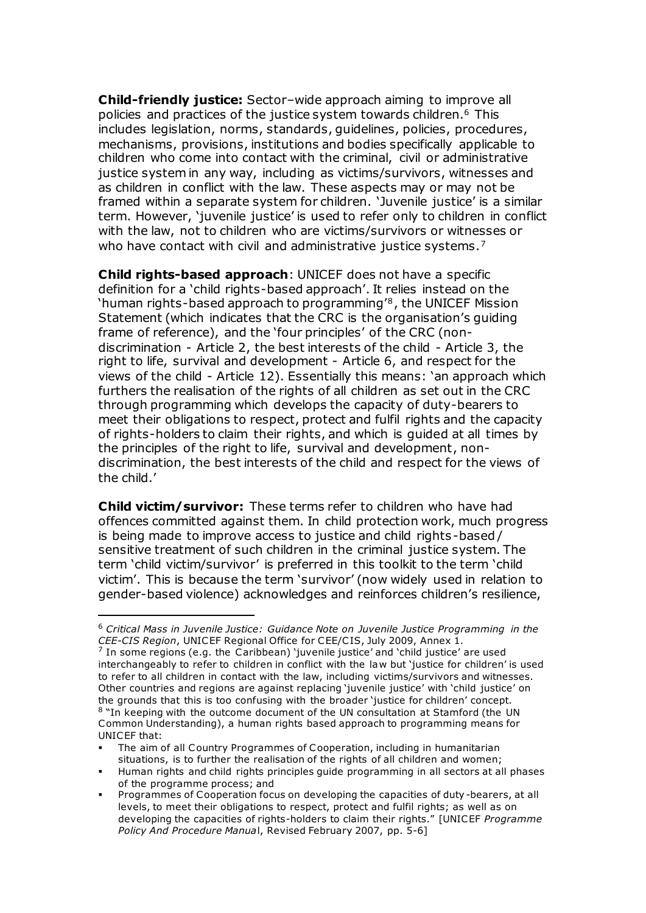**Child-friendly justice:** Sector–wide approach aiming to improve all policies and practices of the justice system towards children.<sup>6</sup> This includes legislation, norms, standards, guidelines, policies, procedures, mechanisms, provisions, institutions and bodies specifically applicable to children who come into contact with the criminal, civil or administrative justice system in any way, including as victims/survivors, witnesses and as children in conflict with the law. These aspects may or may not be framed within a separate system for children. 'Juvenile justice' is a similar term. However, 'juvenile justice' is used to refer only to children in conflict with the law, not to children who are victims/survivors or witnesses or who have contact with civil and administrative justice systems.<sup>7</sup>

**Child rights-based approach**: UNICEF does not have a specific definition for a 'child rights-based approach'. It relies instead on the 'human rights-based approach to programming'<sup>8</sup>, the UNICEF Mission Statement (which indicates that the CRC is the organisation's guiding frame of reference), and the 'four principles' of the CRC (nondiscrimination - Article 2, the best interests of the child - Article 3, the right to life, survival and development - Article 6, and respect for the views of the child - Article 12). Essentially this means: 'an approach which furthers the realisation of the rights of all children as set out in the CRC through programming which develops the capacity of duty-bearers to meet their obligations to respect, protect and fulfil rights and the capacity of rights-holders to claim their rights, and which is guided at all times by the principles of the right to life, survival and development, nondiscrimination, the best interests of the child and respect for the views of the child.'

**Child victim/survivor:** These terms refer to children who have had offences committed against them. In child protection work, much progress is being made to improve access to justice and child rights -based / sensitive treatment of such children in the criminal justice system. The term 'child victim/survivor' is preferred in this toolkit to the term 'child victim'. This is because the term 'survivor' (now widely used in relation to gender-based violence) acknowledges and reinforces children's resilience,

<sup>6</sup> *Critical Mass in Juvenile Justice: Guidance Note on Juvenile Justice Programming in the CEE-CIS Region*, UNICEF Regional Office for CEE/C IS, July 2009, Annex 1. 7

In some regions (e.g. the Caribbean) 'juvenile justice' and 'child justice' are used interchangeably to refer to children in conflict with the law but 'justice for children' is used to refer to all children in contact with the law, including victims/survivors and witnesses. Other countries and regions are against replacing 'juvenile justice' with 'child justice' on the grounds that this is too confusing with the broader 'justice for children' concept. <sup>8</sup> "In keeping with the outcome document of the UN consultation at Stamford (the UN Common Understanding), a human rights based approach to programming means for UNICEF that:

The aim of all Country Programmes of Cooperation, including in humanitarian situations, is to further the realisation of the rights of all children and women;

Human rights and child rights principles guide programming in all sectors at all phases of the programme process; and

Programmes of Cooperation focus on developing the capacities of duty -bearers, at all levels, to meet their obligations to respect, protect and fulfil rights; as well as on developing the capacities of rights-holders to claim their rights." [UNICEF *Programme Policy And Procedure Manua*l, Revised February 2007, pp. 5-6]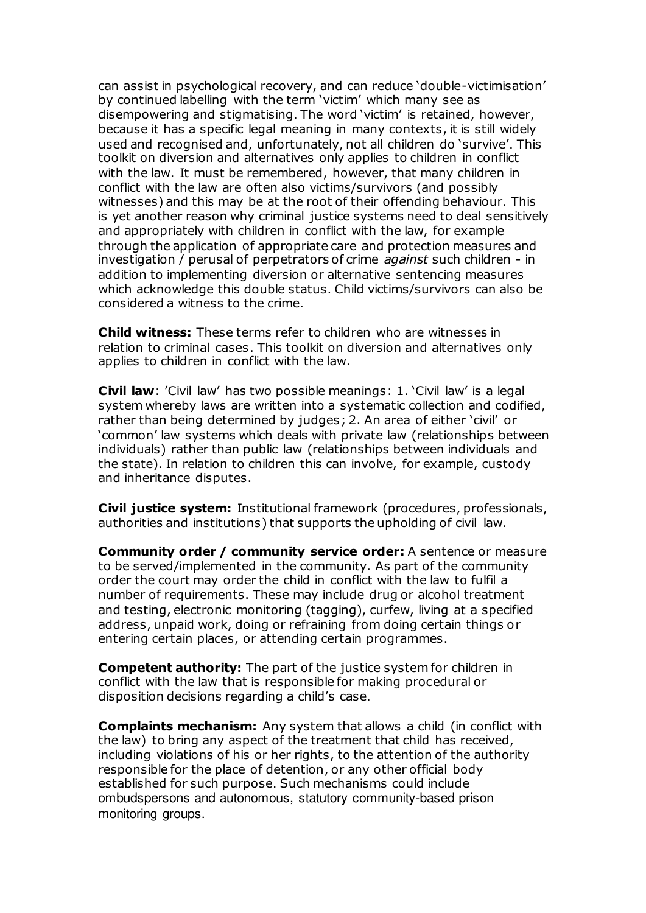can assist in psychological recovery, and can reduce 'double-victimisation' by continued labelling with the term 'victim' which many see as disempowering and stigmatising. The word 'victim' is retained, however, because it has a specific legal meaning in many contexts, it is still widely used and recognised and, unfortunately, not all children do 'survive'. This toolkit on diversion and alternatives only applies to children in conflict with the law. It must be remembered, however, that many children in conflict with the law are often also victims/survivors (and possibly witnesses) and this may be at the root of their offending behaviour. This is yet another reason why criminal justice systems need to deal sensitively and appropriately with children in conflict with the law, for example through the application of appropriate care and protection measures and investigation / perusal of perpetrators of crime *against* such children - in addition to implementing diversion or alternative sentencing measures which acknowledge this double status. Child victims/survivors can also be considered a witness to the crime.

**Child witness:** These terms refer to children who are witnesses in relation to criminal cases. This toolkit on diversion and alternatives only applies to children in conflict with the law.

**Civil law**: 'Civil law' has two possible meanings: 1. 'Civil law' is a legal system whereby laws are written into a systematic collection and codified, rather than being determined by judges; 2. An area of either 'civil' or 'common' law systems which deals with private law (relationships between individuals) rather than public law (relationships between individuals and the state). In relation to children this can involve, for example, custody and inheritance disputes.

**Civil justice system:** Institutional framework (procedures, professionals, authorities and institutions) that supports the upholding of civil law.

**Community order / community service order:** A sentence or measure to be served/implemented in the community. As part of the community order the court may order the child in conflict with the law to fulfil a number of requirements. These may include drug or alcohol treatment and testing, electronic monitoring (tagging), curfew, living at a specified address, unpaid work, doing or refraining from doing certain things or entering certain places, or attending certain programmes.

**Competent authority:** The part of the justice system for children in conflict with the law that is responsible for making procedural or disposition decisions regarding a child's case.

**Complaints mechanism:** Any system that allows a child (in conflict with the law) to bring any aspect of the treatment that child has received, including violations of his or her rights, to the attention of the authority responsible for the place of detention, or any other official body established for such purpose. Such mechanisms could include ombudspersons and autonomous, statutory community-based prison monitoring groups.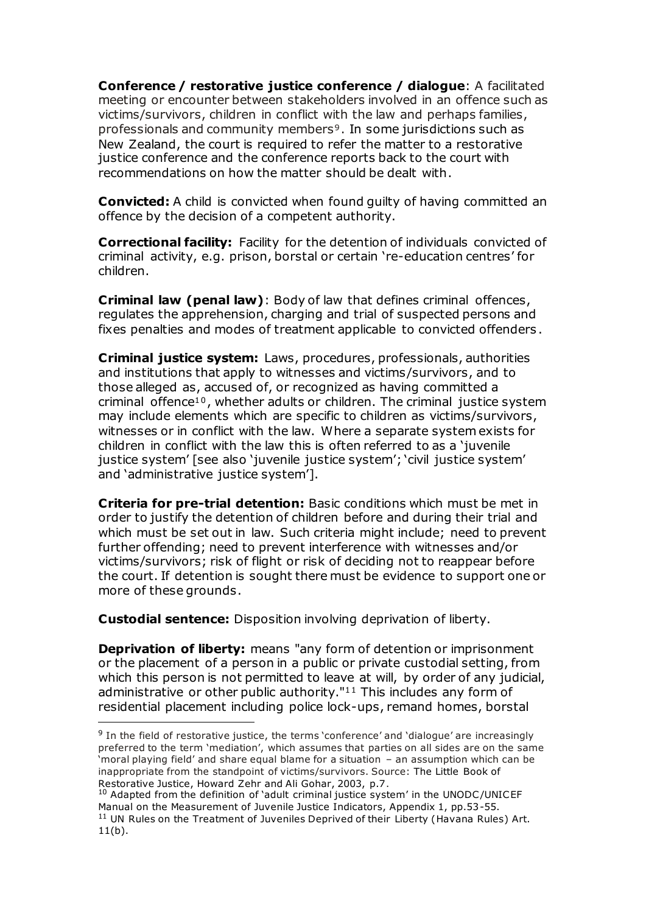**Conference / restorative justice conference / dialogue**: A facilitated meeting or encounter between stakeholders involved in an offence such as victims/survivors, children in conflict with the law and perhaps families, professionals and community members<sup>9</sup>. In some jurisdictions such as New Zealand, the court is required to refer the matter to a restorative justice conference and the conference reports back to the court with recommendations on how the matter should be dealt with.

**Convicted:** A child is convicted when found guilty of having committed an offence by the decision of a competent authority.

**Correctional facility:** Facility for the detention of individuals convicted of criminal activity, e.g. prison, borstal or certain 're-education centres' for children.

**Criminal law (penal law)**: Body of law that defines criminal offences, regulates the apprehension, charging and trial of suspected persons and fixes penalties and modes of treatment applicable to convicted offenders .

**Criminal justice system:** Laws, procedures, professionals, authorities and institutions that apply to witnesses and victims/survivors, and to those alleged as, accused of, or recognized as having committed a criminal offence<sup>10</sup>, whether adults or children. The criminal justice system may include elements which are specific to children as victims/survivors, witnesses or in conflict with the law. Where a separate system exists for children in conflict with the law this is often referred to as a 'juvenile justice system' [see also 'juvenile justice system'; 'civil justice system' and 'administrative justice system'].

**Criteria for pre-trial detention:** Basic conditions which must be met in order to justify the detention of children before and during their trial and which must be set out in law. Such criteria might include; need to prevent further offending; need to prevent interference with witnesses and/or victims/survivors; risk of flight or risk of deciding not to reappear before the court. If detention is sought there must be evidence to support one or more of these grounds.

**Custodial sentence:** Disposition involving deprivation of liberty.

**Deprivation of liberty:** means "any form of detention or imprisonment or the placement of a person in a public or private custodial setting, from which this person is not permitted to leave at will, by order of any judicial, administrative or other public authority."<sup>11</sup> This includes any form of residential placement including police lock-ups, remand homes, borstal l

<sup>&</sup>lt;sup>9</sup> In the field of restorative justice, the terms 'conference' and 'dialogue' are increasingly preferred to the term 'mediation', which assumes that parties on all sides are on the same 'moral playing field' and share equal blame for a situation – an assumption which can be inappropriate from the standpoint of victims/survivors. Source: The Little Book of Restorative Justice, Howard Zehr and Ali Gohar, 2003, p.7.

<sup>&</sup>lt;sup>10</sup> Adapted from the definition of 'adult criminal justice system' in the UNODC/UNICEF Manual on the Measurement of Juvenile Justice Indicators, Appendix 1, pp.53-55. <sup>11</sup> UN Rules on the Treatment of Juveniles Deprived of their Liberty (Havana Rules) Art. 11(b).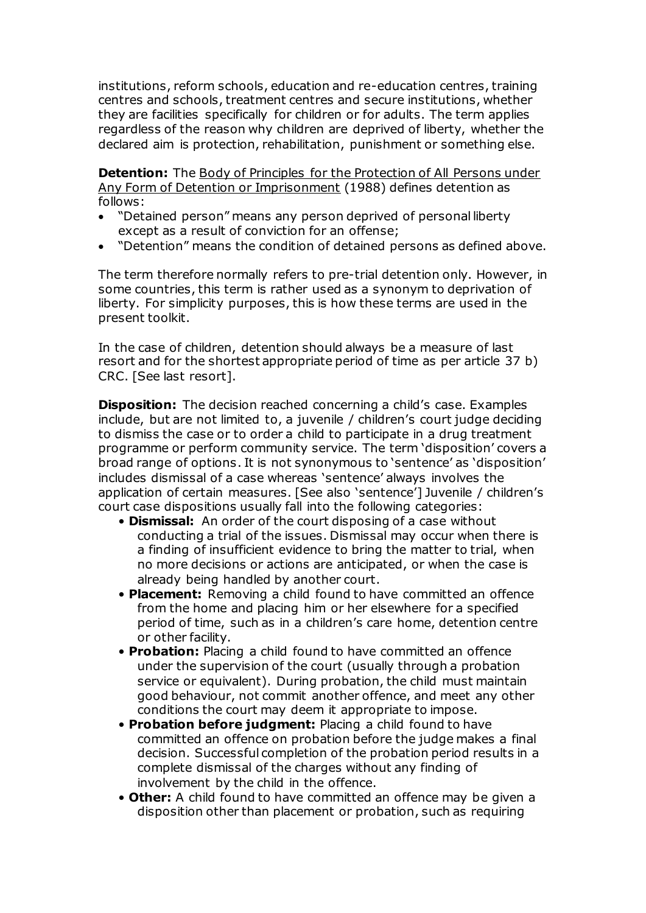institutions, reform schools, education and re-education centres, training centres and schools, treatment centres and secure institutions, whether they are facilities specifically for children or for adults. The term applies regardless of the reason why children are deprived of liberty, whether the declared aim is protection, rehabilitation, punishment or something else.

**Detention:** The Body of Principles for the Protection of All Persons under Any Form of Detention or Imprisonment (1988) defines detention as follows:

- "Detained person" means any person deprived of personal liberty except as a result of conviction for an offense;
- "Detention" means the condition of detained persons as defined above.

The term therefore normally refers to pre-trial detention only. However, in some countries, this term is rather used as a synonym to deprivation of liberty. For simplicity purposes, this is how these terms are used in the present toolkit.

In the case of children, detention should always be a measure of last resort and for the shortest appropriate period of time as per article 37 b) CRC. [See last resort].

**Disposition:** The decision reached concerning a child's case. Examples include, but are not limited to, a juvenile / children's court judge deciding to dismiss the case or to order a child to participate in a drug treatment programme or perform community service. The term 'disposition' covers a broad range of options. It is not synonymous to 'sentence' as 'disposition' includes dismissal of a case whereas 'sentence' always involves the application of certain measures. [See also 'sentence'] Juvenile / children's court case dispositions usually fall into the following categories:

- **Dismissal:** An order of the court disposing of a case without conducting a trial of the issues. Dismissal may occur when there is a finding of insufficient evidence to bring the matter to trial, when no more decisions or actions are anticipated, or when the case is already being handled by another court.
- **Placement:** Removing a child found to have committed an offence from the home and placing him or her elsewhere for a specified period of time, such as in a children's care home, detention centre or other facility.
- **Probation:** Placing a child found to have committed an offence under the supervision of the court (usually through a probation service or equivalent). During probation, the child must maintain good behaviour, not commit another offence, and meet any other conditions the court may deem it appropriate to impose.
- **Probation before judgment:** Placing a child found to have committed an offence on probation before the judge makes a final decision. Successful completion of the probation period results in a complete dismissal of the charges without any finding of involvement by the child in the offence.
- **Other:** A child found to have committed an offence may be given a disposition other than placement or probation, such as requiring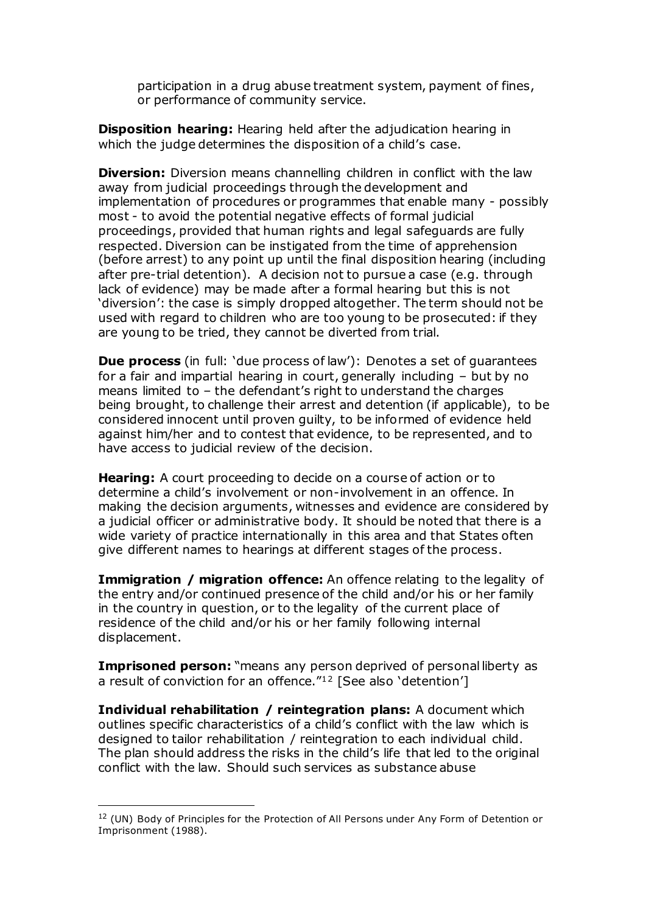participation in a drug abuse treatment system, payment of fines, or performance of community service.

**Disposition hearing:** Hearing held after the adjudication hearing in which the judge determines the disposition of a child's case.

**Diversion:** Diversion means channelling children in conflict with the law away from judicial proceedings through the development and implementation of procedures or programmes that enable many - possibly most - to avoid the potential negative effects of formal judicial proceedings, provided that human rights and legal safeguards are fully respected. Diversion can be instigated from the time of apprehension (before arrest) to any point up until the final disposition hearing (including after pre-trial detention). A decision not to pursue a case (e.g. through lack of evidence) may be made after a formal hearing but this is not 'diversion': the case is simply dropped altogether. The term should not be used with regard to children who are too young to be prosecuted: if they are young to be tried, they cannot be diverted from trial.

**Due process** (in full: 'due process of law'): Denotes a set of quarantees for a fair and impartial hearing in court, generally including – but by no means limited to – the defendant's right to understand the charges being brought, to challenge their arrest and detention (if applicable), to be considered innocent until proven guilty, to be informed of evidence held against him/her and to contest that evidence, to be represented, and to have access to judicial review of the decision.

**Hearing:** A court proceeding to decide on a course of action or to determine a child's involvement or non-involvement in an offence. In making the decision arguments, witnesses and evidence are considered by a judicial officer or administrative body. It should be noted that there is a wide variety of practice internationally in this area and that States often give different names to hearings at different stages of the process.

**Immigration / migration offence:** An offence relating to the legality of the entry and/or continued presence of the child and/or his or her family in the country in question, or to the legality of the current place of residence of the child and/or his or her family following internal displacement.

**Imprisoned person:** "means any person deprived of personal liberty as a result of conviction for an offence."<sup>12</sup> [See also 'detention']

**Individual rehabilitation / reintegration plans:** A document which outlines specific characteristics of a child's conflict with the law which is designed to tailor rehabilitation / reintegration to each individual child. The plan should address the risks in the child's life that led to the original conflict with the law. Should such services as substance abuse

<sup>&</sup>lt;sup>12</sup> (UN) Body of Principles for the Protection of All Persons under Any Form of Detention or Imprisonment (1988).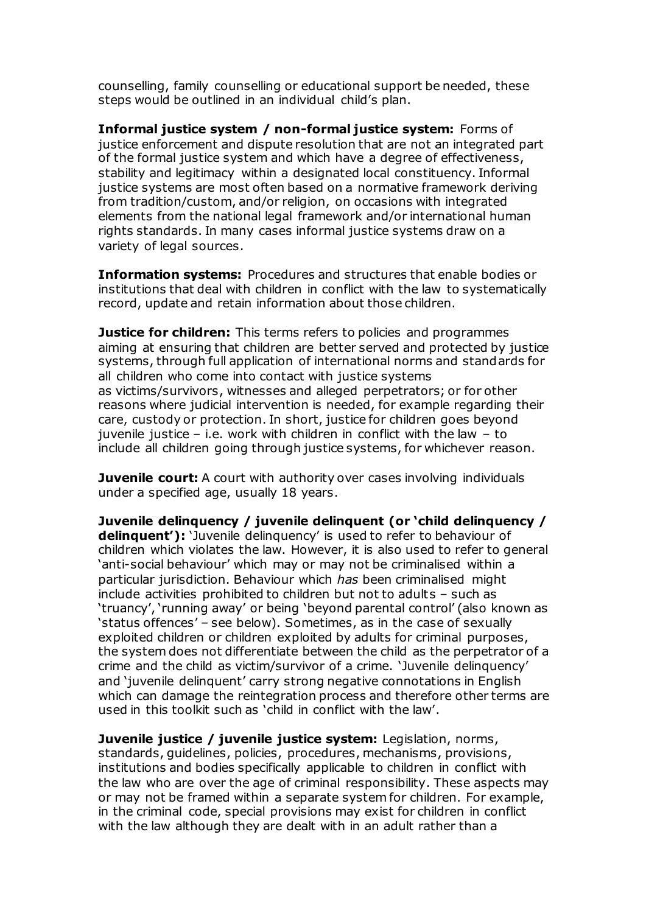counselling, family counselling or educational support be needed, these steps would be outlined in an individual child's plan.

**Informal justice system / non-formal justice system:** Forms of justice enforcement and dispute resolution that are not an integrated part of the formal justice system and which have a degree of effectiveness, stability and legitimacy within a designated local constituency. Informal justice systems are most often based on a normative framework deriving from tradition/custom, and/or religion, on occasions with integrated elements from the national legal framework and/or international human rights standards. In many cases informal justice systems draw on a variety of legal sources.

**Information systems:** Procedures and structures that enable bodies or institutions that deal with children in conflict with the law to systematically record, update and retain information about those children.

**Justice for children:** This terms refers to policies and programmes aiming at ensuring that children are better served and protected by justice systems, through full application of international norms and standards for all children who come into contact with justice systems as victims/survivors, witnesses and alleged perpetrators; or for other reasons where judicial intervention is needed, for example regarding their care, custody or protection. In short, justice for children goes beyond juvenile justice – i.e. work with children in conflict with the law – to include all children going through justice systems, for whichever reason.

**Juvenile court:** A court with authority over cases involving individuals under a specified age, usually 18 years.

**Juvenile delinquency / juvenile delinquent (or 'child delinquency / delinquent'):** 'Juvenile delinquency' is used to refer to behaviour of children which violates the law. However, it is also used to refer to general 'anti-social behaviour' which may or may not be criminalised within a particular jurisdiction. Behaviour which *has* been criminalised might include activities prohibited to children but not to adults – such as 'truancy', 'running away' or being 'beyond parental control' (also known as 'status offences' – see below). Sometimes, as in the case of sexually exploited children or children exploited by adults for criminal purposes, the system does not differentiate between the child as the perpetrator of a crime and the child as victim/survivor of a crime. 'Juvenile delinquency' and 'juvenile delinquent' carry strong negative connotations in English which can damage the reintegration process and therefore other terms are used in this toolkit such as 'child in conflict with the law'.

**Juvenile justice / juvenile justice system:** Legislation, norms, standards, guidelines, policies, procedures, mechanisms, provisions, institutions and bodies specifically applicable to children in conflict with the law who are over the age of criminal responsibility. These aspects may or may not be framed within a separate system for children. For example, in the criminal code, special provisions may exist for children in conflict with the law although they are dealt with in an adult rather than a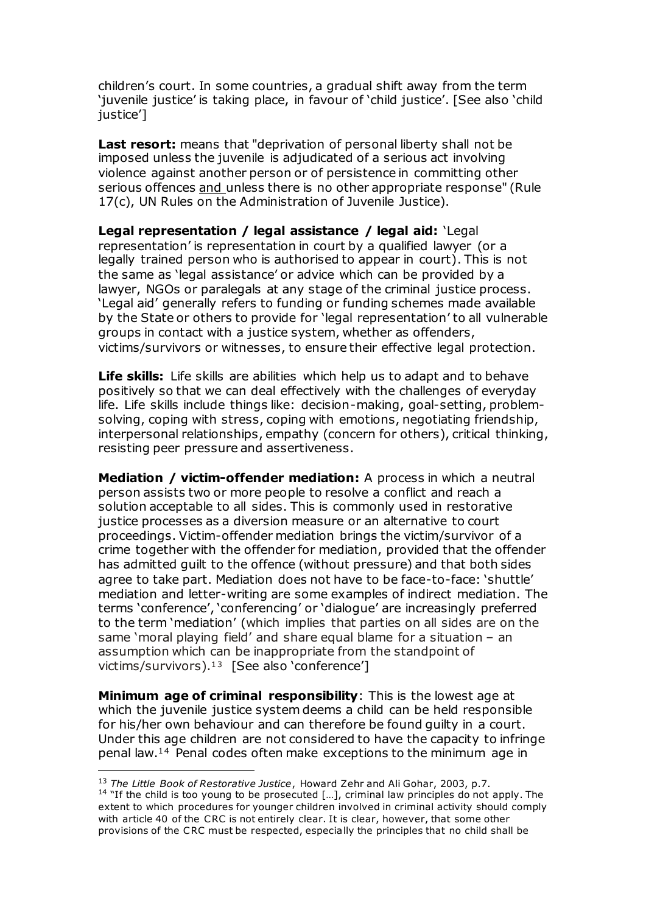children's court. In some countries, a gradual shift away from the term 'juvenile justice' is taking place, in favour of 'child justice'. [See also 'child justice']

Last resort: means that "deprivation of personal liberty shall not be imposed unless the juvenile is adjudicated of a serious act involving violence against another person or of persistence in committing other serious offences and unless there is no other appropriate response" (Rule 17(c), UN Rules on the Administration of Juvenile Justice).

**Legal representation / legal assistance / legal aid:** 'Legal representation' is representation in court by a qualified lawyer (or a legally trained person who is authorised to appear in court). This is not the same as 'legal assistance' or advice which can be provided by a lawyer, NGOs or paralegals at any stage of the criminal justice process. 'Legal aid' generally refers to funding or funding schemes made available by the State or others to provide for 'legal representation' to all vulnerable groups in contact with a justice system, whether as offenders, victims/survivors or witnesses, to ensure their effective legal protection.

**Life skills:** Life skills are abilities which help us to adapt and to behave positively so that we can deal effectively with the challenges of everyday life. Life skills include things like: decision-making, goal-setting, problemsolving, coping with stress, coping with emotions, negotiating friendship, interpersonal relationships, empathy (concern for others), critical thinking, resisting peer pressure and assertiveness.

**Mediation / victim-offender mediation:** A process in which a neutral person assists two or more people to resolve a conflict and reach a solution acceptable to all sides. This is commonly used in restorative justice processes as a diversion measure or an alternative to court proceedings. Victim-offender mediation brings the victim/survivor of a crime together with the offender for mediation, provided that the offender has admitted guilt to the offence (without pressure) and that both sides agree to take part. Mediation does not have to be face-to-face: 'shuttle' mediation and letter-writing are some examples of indirect mediation. The terms 'conference', 'conferencing' or 'dialogue' are increasingly preferred to the term 'mediation' (which implies that parties on all sides are on the same 'moral playing field' and share equal blame for a situation – an assumption which can be inappropriate from the standpoint of victims/survivors). $13$  [See also 'conference']

**Minimum age of criminal responsibility**: This is the lowest age at which the juvenile justice system deems a child can be held responsible for his/her own behaviour and can therefore be found guilty in a court. Under this age children are not considered to have the capacity to infringe penal law.<sup>14</sup> Penal codes often make exceptions to the minimum age in l

<sup>13</sup> *The Little Book of Restorative Justice*, Howard Zehr and Ali Gohar, 2003, p.7.

 $14$  "If the child is too young to be prosecuted [...], criminal law principles do not apply. The extent to which procedures for younger children involved in criminal activity should comply with article 40 of the CRC is not entirely clear. It is clear, however, that some other provisions of the CRC must be respected, especially the principles that no child shall be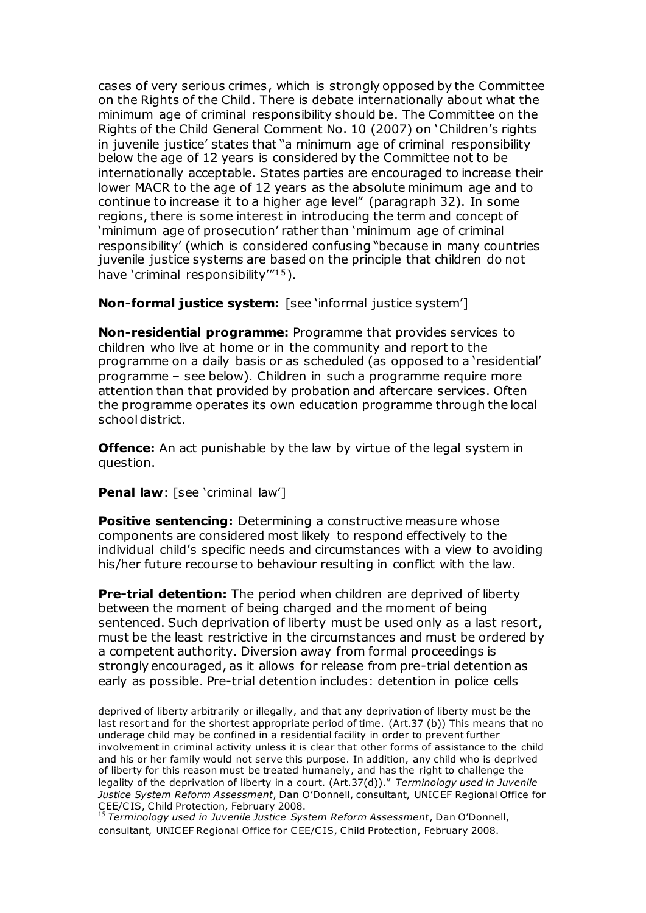cases of very serious crimes, which is strongly opposed by the Committee on the Rights of the Child. There is debate internationally about what the minimum age of criminal responsibility should be. The Committee on the Rights of the Child General Comment No. 10 (2007) on 'Children's rights in juvenile justice' states that "a minimum age of criminal responsibility below the age of 12 years is considered by the Committee not to be internationally acceptable. States parties are encouraged to increase their lower MACR to the age of 12 years as the absolute minimum age and to continue to increase it to a higher age level" (paragraph 32). In some regions, there is some interest in introducing the term and concept of 'minimum age of prosecution' rather than 'minimum age of criminal responsibility' (which is considered confusing "because in many countries juvenile justice systems are based on the principle that children do not have 'criminal responsibility''<sup>15</sup>).

**Non-formal justice system:** [see 'informal justice system']

**Non-residential programme:** Programme that provides services to children who live at home or in the community and report to the programme on a daily basis or as scheduled (as opposed to a 'residential' programme – see below). Children in such a programme require more attention than that provided by probation and aftercare services. Often the programme operates its own education programme through the local school district.

**Offence:** An act punishable by the law by virtue of the legal system in question.

**Penal law:** [see 'criminal law']

l

**Positive sentencing:** Determining a constructive measure whose components are considered most likely to respond effectively to the individual child's specific needs and circumstances with a view to avoiding his/her future recourse to behaviour resulting in conflict with the law.

**Pre-trial detention:** The period when children are deprived of liberty between the moment of being charged and the moment of being sentenced. Such deprivation of liberty must be used only as a last resort, must be the least restrictive in the circumstances and must be ordered by a competent authority. Diversion away from formal proceedings is strongly encouraged, as it allows for release from pre-trial detention as early as possible. Pre-trial detention includes: detention in police cells

deprived of liberty arbitrarily or illegally, and that any deprivation of liberty must be the last resort and for the shortest appropriate period of time. (Art.37 (b)) This means that no underage child may be confined in a residential facility in order to prevent further involvement in criminal activity unless it is clear that other forms of assistance to the child and his or her family would not serve this purpose. In addition, any child who is deprived of liberty for this reason must be treated humanely, and has the right to challenge the legality of the deprivation of liberty in a court. (Art.37(d))." *Terminology used in Juvenile Justice System Reform Assessment*, Dan O'Donnell, consultant, UNICEF Regional Office for CEE/C IS, Child Protection, February 2008.

<sup>15</sup> *Terminology used in Juvenile Justice System Reform Assessment*, Dan O'Donnell, consultant, UNICEF Regional Office for CEE/CIS, Child Protection, February 2008.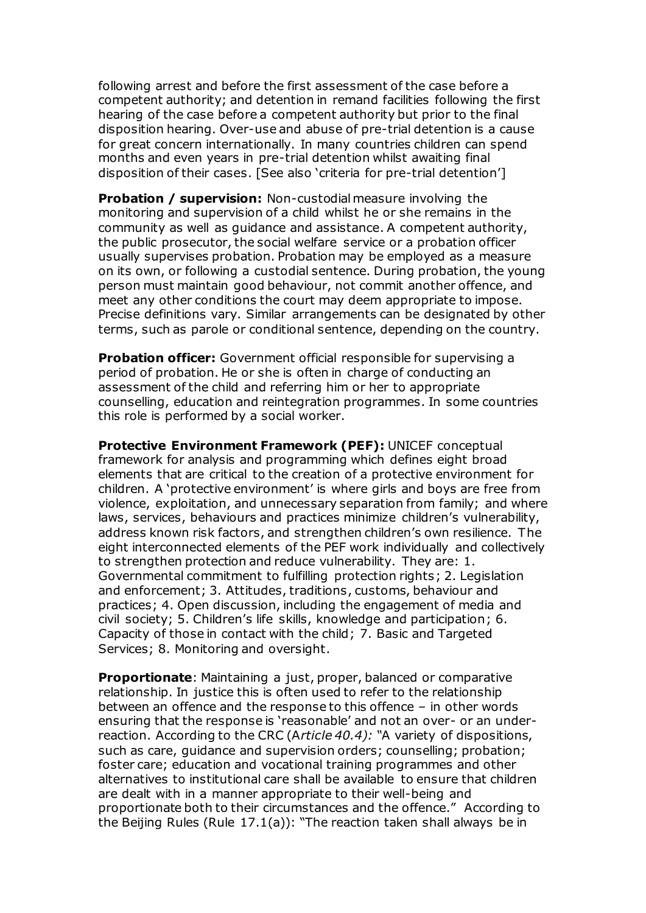following arrest and before the first assessment of the case before a competent authority; and detention in remand facilities following the first hearing of the case before a competent authority but prior to the final disposition hearing. Over-use and abuse of pre-trial detention is a cause for great concern internationally. In many countries children can spend months and even years in pre-trial detention whilst awaiting final disposition of their cases. [See also 'criteria for pre-trial detention']

**Probation / supervision:** Non-custodial measure involving the monitoring and supervision of a child whilst he or she remains in the community as well as guidance and assistance. A competent authority, the public prosecutor, the social welfare service or a probation officer usually supervises probation. Probation may be employed as a measure on its own, or following a custodial sentence. During probation, the young person must maintain good behaviour, not commit another offence, and meet any other conditions the court may deem appropriate to impose. Precise definitions vary. Similar arrangements can be designated by other terms, such as parole or conditional sentence, depending on the country.

**Probation officer:** Government official responsible for supervising a period of probation. He or she is often in charge of conducting an assessment of the child and referring him or her to appropriate counselling, education and reintegration programmes. In some countries this role is performed by a social worker.

**Protective Environment Framework (PEF):** UNICEF conceptual framework for analysis and programming which defines eight broad elements that are critical to the creation of a protective environment for children. A 'protective environment' is where girls and boys are free from violence, exploitation, and unnecessary separation from family; and where laws, services, behaviours and practices minimize children's vulnerability, address known risk factors, and strengthen children's own resilience. The eight interconnected elements of the PEF work individually and collectively to strengthen protection and reduce vulnerability. They are: 1. Governmental commitment to fulfilling protection rights; 2. Legislation and enforcement; 3. Attitudes, traditions, customs, behaviour and practices; 4. Open discussion, including the engagement of media and civil society; 5. Children's life skills, knowledge and participation; 6. Capacity of those in contact with the child; 7. Basic and Targeted Services; 8. Monitoring and oversight.

**Proportionate**: Maintaining a just, proper, balanced or comparative relationship. In justice this is often used to refer to the relationship between an offence and the response to this offence – in other words ensuring that the response is 'reasonable' and not an over- or an underreaction. According to the CRC (A*rticle 40.4): "*A variety of dispositions, such as care, guidance and supervision orders; counselling; probation; foster care; education and vocational training programmes and other alternatives to institutional care shall be available to ensure that children are dealt with in a manner appropriate to their well-being and proportionate both to their circumstances and the offence." According to the Beijing Rules (Rule 17.1(a)): "The reaction taken shall always be in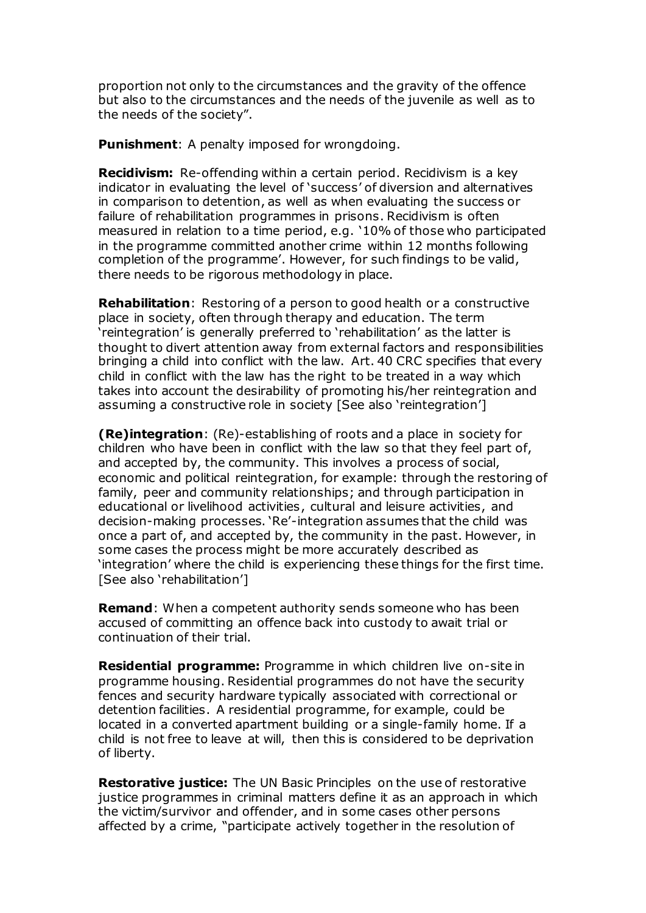proportion not only to the circumstances and the gravity of the offence but also to the circumstances and the needs of the juvenile as well as to the needs of the society".

**Punishment**: A penalty imposed for wrongdoing.

**Recidivism:** Re-offending within a certain period. Recidivism is a key indicator in evaluating the level of 'success' of diversion and alternatives in comparison to detention, as well as when evaluating the success or failure of rehabilitation programmes in prisons. Recidivism is often measured in relation to a time period, e.g. '10% of those who participated in the programme committed another crime within 12 months following completion of the programme'. However, for such findings to be valid, there needs to be rigorous methodology in place.

**Rehabilitation**: Restoring of a person to good health or a constructive place in society, often through therapy and education. The term 'reintegration' is generally preferred to 'rehabilitation' as the latter is thought to divert attention away from external factors and responsibilities bringing a child into conflict with the law. Art. 40 CRC specifies that every child in conflict with the law has the right to be treated in a way which takes into account the desirability of promoting his/her reintegration and assuming a constructive role in society [See also 'reintegration']

**(Re)integration**: (Re)-establishing of roots and a place in society for children who have been in conflict with the law so that they feel part of, and accepted by, the community. This involves a process of social, economic and political reintegration, for example: through the restoring of family, peer and community relationships; and through participation in educational or livelihood activities, cultural and leisure activities, and decision-making processes. 'Re'-integration assumes that the child was once a part of, and accepted by, the community in the past. However, in some cases the process might be more accurately described as 'integration' where the child is experiencing these things for the first time. [See also 'rehabilitation']

**Remand**: When a competent authority sends someone who has been accused of committing an offence back into custody to await trial or continuation of their trial.

**Residential programme:** Programme in which children live on-site in programme housing. Residential programmes do not have the security fences and security hardware typically associated with correctional or detention facilities. A residential programme, for example, could be located in a converted apartment building or a single-family home. If a child is not free to leave at will, then this is considered to be deprivation of liberty.

**Restorative justice:** The UN Basic Principles on the use of restorative justice programmes in criminal matters define it as an approach in which the victim/survivor and offender, and in some cases other persons affected by a crime, "participate actively together in the resolution of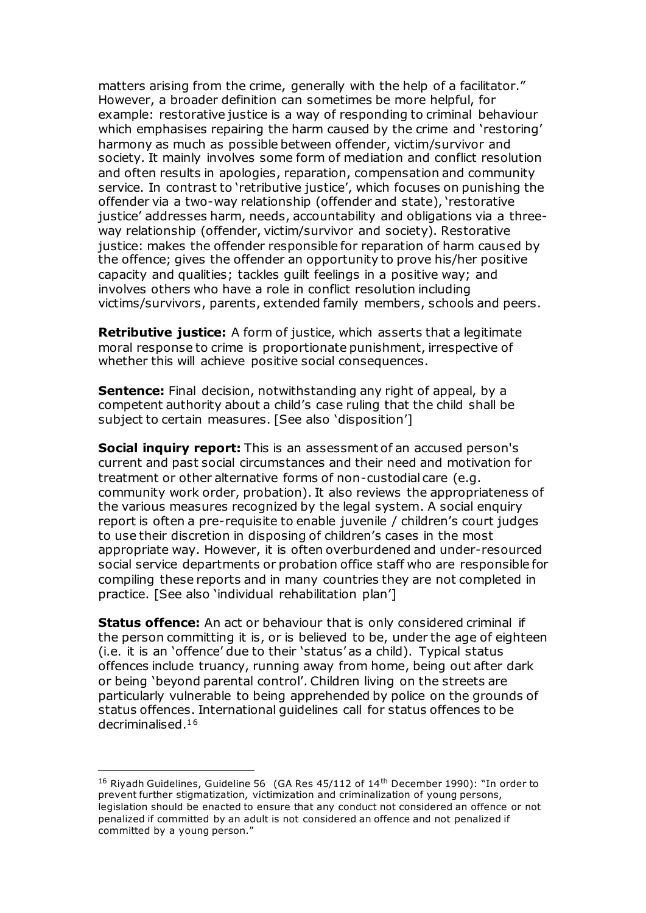matters arising from the crime, generally with the help of a facilitator." However, a broader definition can sometimes be more helpful, for example: restorative justice is a way of responding to criminal behaviour which emphasises repairing the harm caused by the crime and 'restoring' harmony as much as possible between offender, victim/survivor and society. It mainly involves some form of mediation and conflict resolution and often results in apologies, reparation, compensation and community service. In contrast to 'retributive justice', which focuses on punishing the offender via a two-way relationship (offender and state), 'restorative justice' addresses harm, needs, accountability and obligations via a threeway relationship (offender, victim/survivor and society). Restorative justice: makes the offender responsible for reparation of harm caused by the offence; gives the offender an opportunity to prove his/her positive capacity and qualities; tackles guilt feelings in a positive way; and involves others who have a role in conflict resolution including victims/survivors, parents, extended family members, schools and peers.

**Retributive justice:** A form of justice, which asserts that a legitimate moral response to crime is proportionate punishment, irrespective of whether this will achieve positive social consequences.

**Sentence:** Final decision, notwithstanding any right of appeal, by a competent authority about a child's case ruling that the child shall be subject to certain measures. [See also 'disposition']

**Social inquiry report:** This is an assessment of an accused person's current and past social circumstances and their need and motivation for treatment or other alternative forms of non-custodial care (e.g. community work order, probation). It also reviews the appropriateness of the various measures recognized by the legal system. A social enquiry report is often a pre-requisite to enable juvenile / children's court judges to use their discretion in disposing of children's cases in the most appropriate way. However, it is often overburdened and under-resourced social service departments or probation office staff who are responsible for compiling these reports and in many countries they are not completed in practice. [See also 'individual rehabilitation plan']

**Status offence:** An act or behaviour that is only considered criminal if the person committing it is, or is believed to be, under the age of eighteen (i.e. it is an 'offence' due to their 'status' as a child). Typical status offences include truancy, running away from home, being out after dark or being 'beyond parental control'. Children living on the streets are particularly vulnerable to being apprehended by police on the grounds of status offences. International guidelines call for status offences to be decriminalised.<sup>16</sup>

<sup>&</sup>lt;sup>16</sup> Riyadh Guidelines, Guideline 56 (GA Res 45/112 of 14<sup>th</sup> December 1990): "In order to prevent further stigmatization, victimization and criminalization of young persons, legislation should be enacted to ensure that any conduct not considered an offence or not penalized if committed by an adult is not considered an offence and not penalized if committed by a young person."